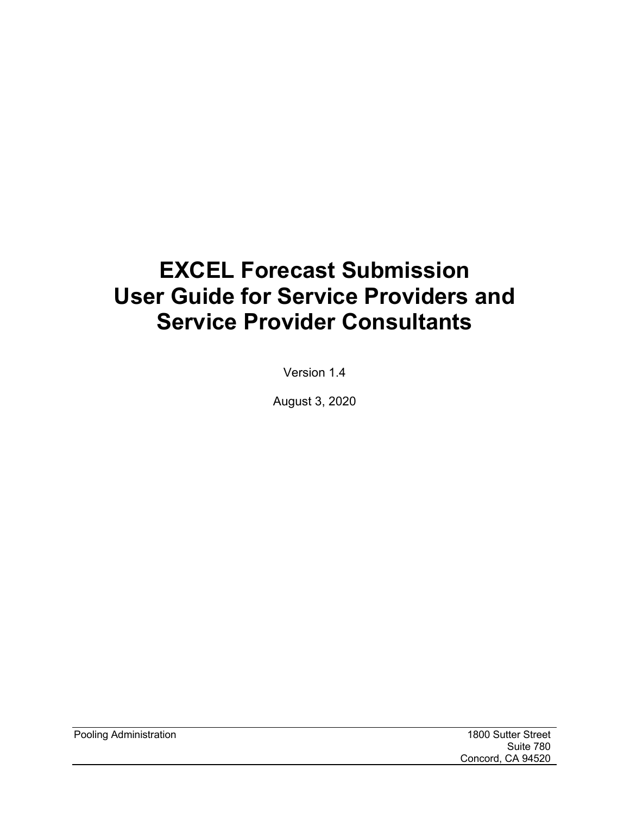# **EXCEL Forecast Submission User Guide for Service Providers and Service Provider Consultants**

Version 1.4

August 3, 2020

Pooling Administration 1800 Sutter Street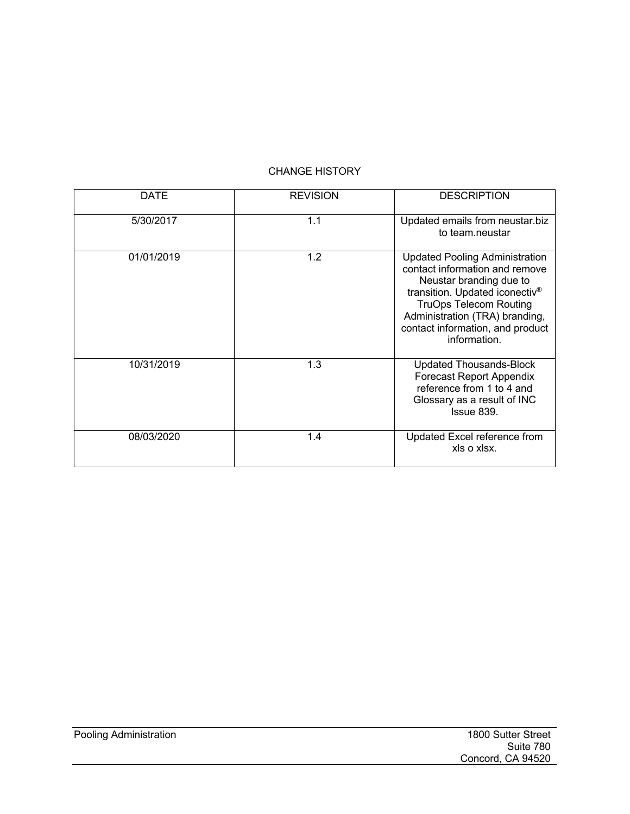#### CHANGE HISTORY

| <b>DATE</b> | <b>REVISION</b> | <b>DESCRIPTION</b>                                                                                                                                                                                                                                                      |
|-------------|-----------------|-------------------------------------------------------------------------------------------------------------------------------------------------------------------------------------------------------------------------------------------------------------------------|
| 5/30/2017   | 1.1             | Updated emails from neustar.biz<br>to team.neustar                                                                                                                                                                                                                      |
| 01/01/2019  | 1.2             | <b>Updated Pooling Administration</b><br>contact information and remove<br>Neustar branding due to<br>transition. Updated iconectiv <sup>®</sup><br><b>TruOps Telecom Routing</b><br>Administration (TRA) branding,<br>contact information, and product<br>information. |
| 10/31/2019  | 1.3             | <b>Updated Thousands-Block</b><br><b>Forecast Report Appendix</b><br>reference from 1 to 4 and<br>Glossary as a result of INC<br>Issue 839.                                                                                                                             |
| 08/03/2020  | 1.4             | Updated Excel reference from<br>xls o xlsx.                                                                                                                                                                                                                             |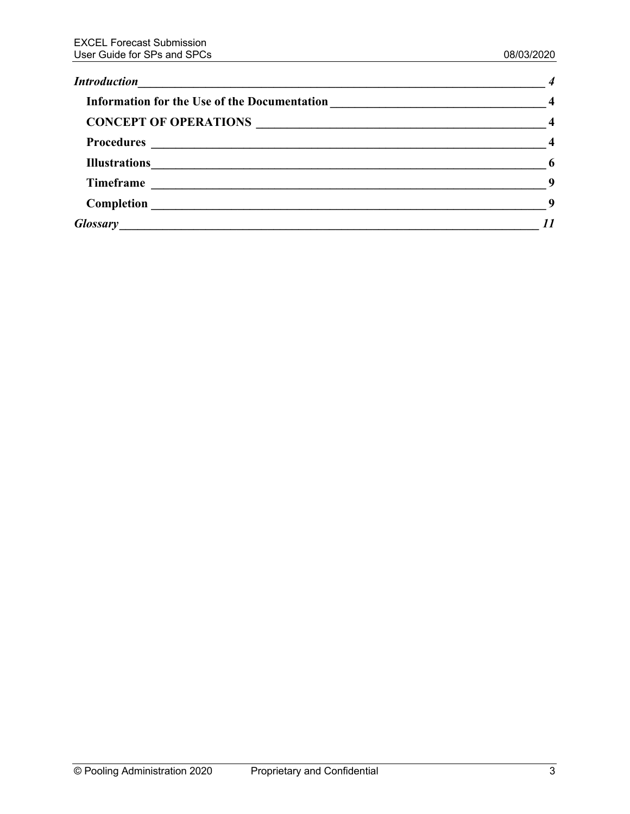| $\overline{\phantom{0}}$ |
|--------------------------|
| $\sim$ 9                 |
| -9                       |
|                          |
|                          |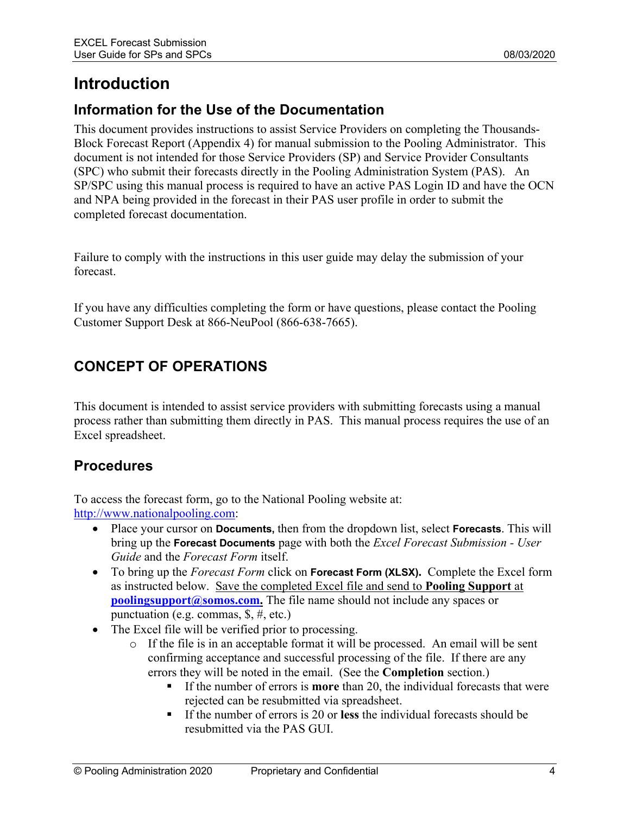# **Introduction**

# **Information for the Use of the Documentation**

This document provides instructions to assist Service Providers on completing the Thousands-Block Forecast Report (Appendix 4) for manual submission to the Pooling Administrator. This document is not intended for those Service Providers (SP) and Service Provider Consultants (SPC) who submit their forecasts directly in the Pooling Administration System (PAS). An SP/SPC using this manual process is required to have an active PAS Login ID and have the OCN and NPA being provided in the forecast in their PAS user profile in order to submit the completed forecast documentation.

Failure to comply with the instructions in this user guide may delay the submission of your forecast.

If you have any difficulties completing the form or have questions, please contact the Pooling Customer Support Desk at 866-NeuPool (866-638-7665).

# **CONCEPT OF OPERATIONS**

This document is intended to assist service providers with submitting forecasts using a manual process rather than submitting them directly in PAS. This manual process requires the use of an Excel spreadsheet.

# **Procedures**

To access the forecast form, go to the National Pooling website at: http://www.nationalpooling.com:

- Place your cursor on **Documents,** then from the dropdown list, select **Forecasts**. This will bring up the **Forecast Documents** page with both the *Excel Forecast Submission - User Guide* and the *Forecast Form* itself.
- To bring up the *Forecast Form* click on **Forecast Form (XLSX).** Complete the Excel form as instructed below. Save the completed Excel file and send to **Pooling Support** at **poolingsupport@somos.com.** The file name should not include any spaces or punctuation (e.g. commas, \$, #, etc.)
- The Excel file will be verified prior to processing.
	- o If the file is in an acceptable format it will be processed. An email will be sent confirming acceptance and successful processing of the file. If there are any errors they will be noted in the email. (See the **Completion** section.)
		- If the number of errors is **more** than 20, the individual forecasts that were rejected can be resubmitted via spreadsheet.
		- § If the number of errors is 20 or **less** the individual forecasts should be resubmitted via the PAS GUI.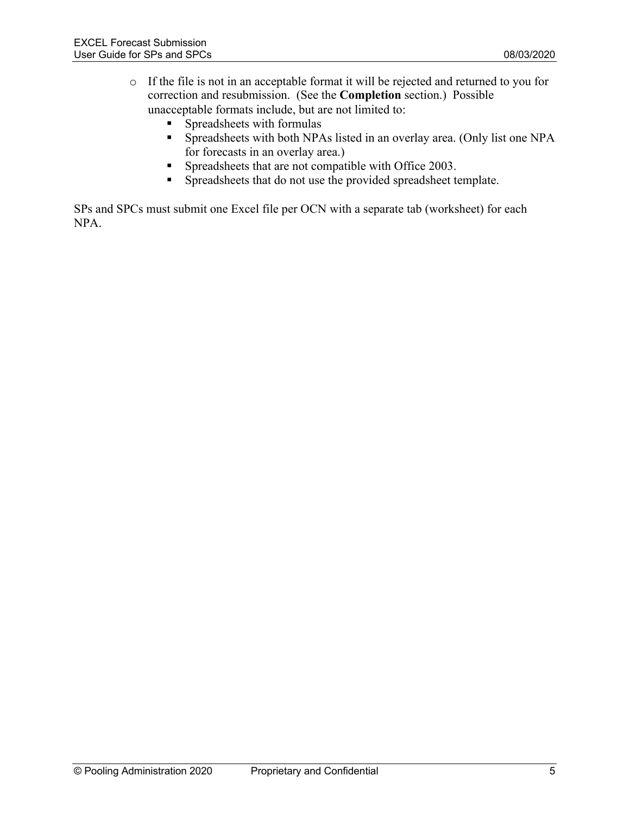- o If the file is not in an acceptable format it will be rejected and returned to you for correction and resubmission. (See the **Completion** section.) Possible unacceptable formats include, but are not limited to:
	- § Spreadsheets with formulas
	- Spreadsheets with both NPAs listed in an overlay area. (Only list one NPA for forecasts in an overlay area.)
	- § Spreadsheets that are not compatible with Office 2003.
	- § Spreadsheets that do not use the provided spreadsheet template.

SPs and SPCs must submit one Excel file per OCN with a separate tab (worksheet) for each NPA.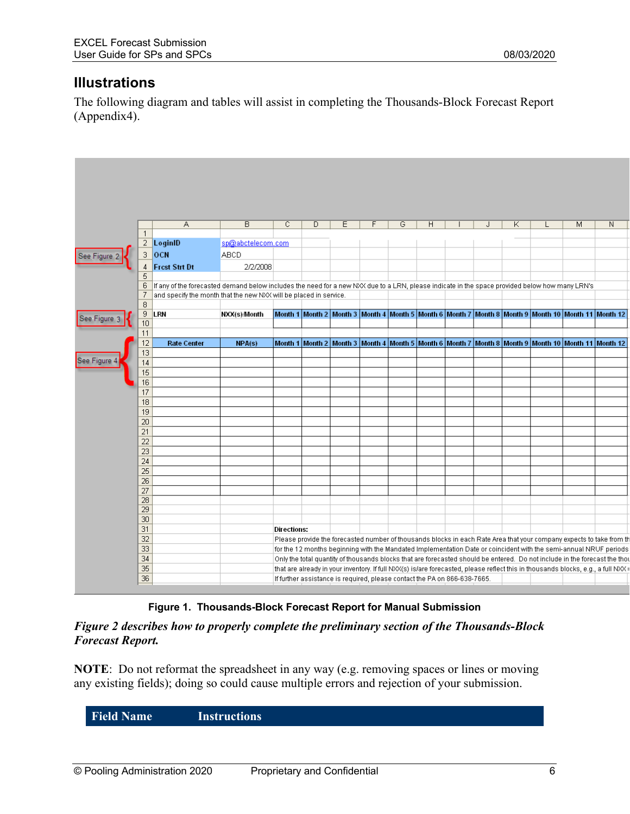# **Illustrations**

The following diagram and tables will assist in completing the Thousands-Block Forecast Report (Appendix4).

|                 | Α                                                                                                                                              | B                 | $\overline{C}$ | D | Ε                                                                         | F | G | H | J | Κ | L.                                                                                                                               | $\overline{\mathsf{M}}$ | N |
|-----------------|------------------------------------------------------------------------------------------------------------------------------------------------|-------------------|----------------|---|---------------------------------------------------------------------------|---|---|---|---|---|----------------------------------------------------------------------------------------------------------------------------------|-------------------------|---|
| $\mathbf{1}$    |                                                                                                                                                |                   |                |   |                                                                           |   |   |   |   |   |                                                                                                                                  |                         |   |
|                 | $2$   LoginID                                                                                                                                  | sp@abctelecom.com |                |   |                                                                           |   |   |   |   |   |                                                                                                                                  |                         |   |
| 3               | OCN                                                                                                                                            | <b>ABCD</b>       |                |   |                                                                           |   |   |   |   |   |                                                                                                                                  |                         |   |
| 4               | <b>Frest Strt Dt</b>                                                                                                                           | 2/2/2008          |                |   |                                                                           |   |   |   |   |   |                                                                                                                                  |                         |   |
| 5               |                                                                                                                                                |                   |                |   |                                                                           |   |   |   |   |   |                                                                                                                                  |                         |   |
| 6               | If any of the forecasted demand below includes the need for a new NXX due to a LRN, please indicate in the space provided below how many LRN's |                   |                |   |                                                                           |   |   |   |   |   |                                                                                                                                  |                         |   |
| 7               | and specify the month that the new NXX will be placed in service.                                                                              |                   |                |   |                                                                           |   |   |   |   |   |                                                                                                                                  |                         |   |
| 8               |                                                                                                                                                |                   |                |   |                                                                           |   |   |   |   |   |                                                                                                                                  |                         |   |
| 9               | LRN                                                                                                                                            | NXX(s)/Month      |                |   |                                                                           |   |   |   |   |   | Month 1   Month 2   Month 3   Month 4   Month 5   Month 6   Month 7   Month 8   Month 9   Month 10   Month 11   Month 12         |                         |   |
| 10              |                                                                                                                                                |                   |                |   |                                                                           |   |   |   |   |   |                                                                                                                                  |                         |   |
| 11              |                                                                                                                                                |                   |                |   |                                                                           |   |   |   |   |   |                                                                                                                                  |                         |   |
| 12              | <b>Rate Center</b>                                                                                                                             | NPA(s)            |                |   |                                                                           |   |   |   |   |   | Month 1   Month 2   Month 3   Month 4   Month 5   Month 6   Month 7   Month 8   Month 9   Month 10   Month 11   Month 12         |                         |   |
| 13              |                                                                                                                                                |                   |                |   |                                                                           |   |   |   |   |   |                                                                                                                                  |                         |   |
| 14              |                                                                                                                                                |                   |                |   |                                                                           |   |   |   |   |   |                                                                                                                                  |                         |   |
| 15              |                                                                                                                                                |                   |                |   |                                                                           |   |   |   |   |   |                                                                                                                                  |                         |   |
| 16<br>17        |                                                                                                                                                |                   |                |   |                                                                           |   |   |   |   |   |                                                                                                                                  |                         |   |
| 18              |                                                                                                                                                |                   |                |   |                                                                           |   |   |   |   |   |                                                                                                                                  |                         |   |
| 19              |                                                                                                                                                |                   |                |   |                                                                           |   |   |   |   |   |                                                                                                                                  |                         |   |
| 20              |                                                                                                                                                |                   |                |   |                                                                           |   |   |   |   |   |                                                                                                                                  |                         |   |
| 21              |                                                                                                                                                |                   |                |   |                                                                           |   |   |   |   |   |                                                                                                                                  |                         |   |
| 22              |                                                                                                                                                |                   |                |   |                                                                           |   |   |   |   |   |                                                                                                                                  |                         |   |
| 23              |                                                                                                                                                |                   |                |   |                                                                           |   |   |   |   |   |                                                                                                                                  |                         |   |
| 24              |                                                                                                                                                |                   |                |   |                                                                           |   |   |   |   |   |                                                                                                                                  |                         |   |
| 25              |                                                                                                                                                |                   |                |   |                                                                           |   |   |   |   |   |                                                                                                                                  |                         |   |
| 26              |                                                                                                                                                |                   |                |   |                                                                           |   |   |   |   |   |                                                                                                                                  |                         |   |
| 27              |                                                                                                                                                |                   |                |   |                                                                           |   |   |   |   |   |                                                                                                                                  |                         |   |
| 28              |                                                                                                                                                |                   |                |   |                                                                           |   |   |   |   |   |                                                                                                                                  |                         |   |
| 29              |                                                                                                                                                |                   |                |   |                                                                           |   |   |   |   |   |                                                                                                                                  |                         |   |
| 30 <sup>2</sup> |                                                                                                                                                |                   |                |   |                                                                           |   |   |   |   |   |                                                                                                                                  |                         |   |
| 31              |                                                                                                                                                |                   | Directions:    |   |                                                                           |   |   |   |   |   |                                                                                                                                  |                         |   |
| 32              |                                                                                                                                                |                   |                |   |                                                                           |   |   |   |   |   | Please provide the forecasted number of thousands blocks in each Rate Area that your company expects to take from tl             |                         |   |
| 33              |                                                                                                                                                |                   |                |   |                                                                           |   |   |   |   |   | for the 12 months beginning with the Mandated Implementation Date or coincident with the semi-annual NRUF periods                |                         |   |
| 34              |                                                                                                                                                |                   |                |   |                                                                           |   |   |   |   |   | Only the total quantity of thousands blocks that are forecasted should be entered. Do not include in the forecast the tho        |                         |   |
| $\overline{35}$ |                                                                                                                                                |                   |                |   |                                                                           |   |   |   |   |   | that are already in your inventory. If full NXX(s) is/are forecasted, please reflect this in thousands blocks, e.g., a full NXX: |                         |   |
| 36              |                                                                                                                                                |                   |                |   | If further assistance is required, please contact the PA on 866-638-7665. |   |   |   |   |   |                                                                                                                                  |                         |   |

#### **Figure 1. Thousands-Block Forecast Report for Manual Submission**

*Figure 2 describes how to properly complete the preliminary section of the Thousands-Block Forecast Report.*

**NOTE**: Do not reformat the spreadsheet in any way (e.g. removing spaces or lines or moving any existing fields); doing so could cause multiple errors and rejection of your submission.

**Field Name Instructions**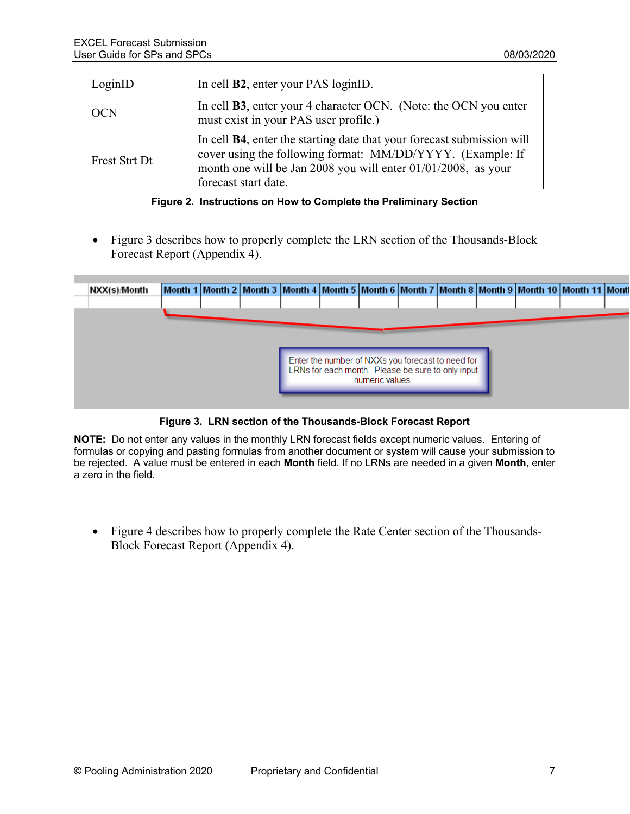| LoginID              | In cell <b>B2</b> , enter your PAS loginID.                                                                                                                                                                                           |
|----------------------|---------------------------------------------------------------------------------------------------------------------------------------------------------------------------------------------------------------------------------------|
| <b>OCN</b>           | In cell <b>B3</b> , enter your 4 character OCN. (Note: the OCN you enter<br>must exist in your PAS user profile.)                                                                                                                     |
| <b>Frest Strt Dt</b> | In cell <b>B4</b> , enter the starting date that your forecast submission will<br>cover using the following format: MM/DD/YYYY. (Example: If<br>month one will be Jan 2008 you will enter 01/01/2008, as your<br>forecast start date. |

**Figure 2. Instructions on How to Complete the Preliminary Section**

• Figure 3 describes how to properly complete the LRN section of the Thousands-Block Forecast Report (Appendix 4).

| NXX(s)/Month |  |  |                                                                      |  |  | Month 1   Month 2   Month 3   Month 4   Month 5   Month 6   Month 7   Month 8   Month 9   Month 10   Month 11   Month |  |
|--------------|--|--|----------------------------------------------------------------------|--|--|-----------------------------------------------------------------------------------------------------------------------|--|
|              |  |  |                                                                      |  |  |                                                                                                                       |  |
|              |  |  |                                                                      |  |  |                                                                                                                       |  |
|              |  |  |                                                                      |  |  |                                                                                                                       |  |
|              |  |  |                                                                      |  |  |                                                                                                                       |  |
|              |  |  | Enter the number of NXXs you forecast to need for                    |  |  |                                                                                                                       |  |
|              |  |  | LRNs for each month. Please be sure to only input<br>numeric values. |  |  |                                                                                                                       |  |
|              |  |  |                                                                      |  |  |                                                                                                                       |  |

#### **Figure 3. LRN section of the Thousands-Block Forecast Report**

**NOTE:** Do not enter any values in the monthly LRN forecast fields except numeric values. Entering of formulas or copying and pasting formulas from another document or system will cause your submission to be rejected. A value must be entered in each **Month** field. If no LRNs are needed in a given **Month**, enter a zero in the field.

• Figure 4 describes how to properly complete the Rate Center section of the Thousands-Block Forecast Report (Appendix 4).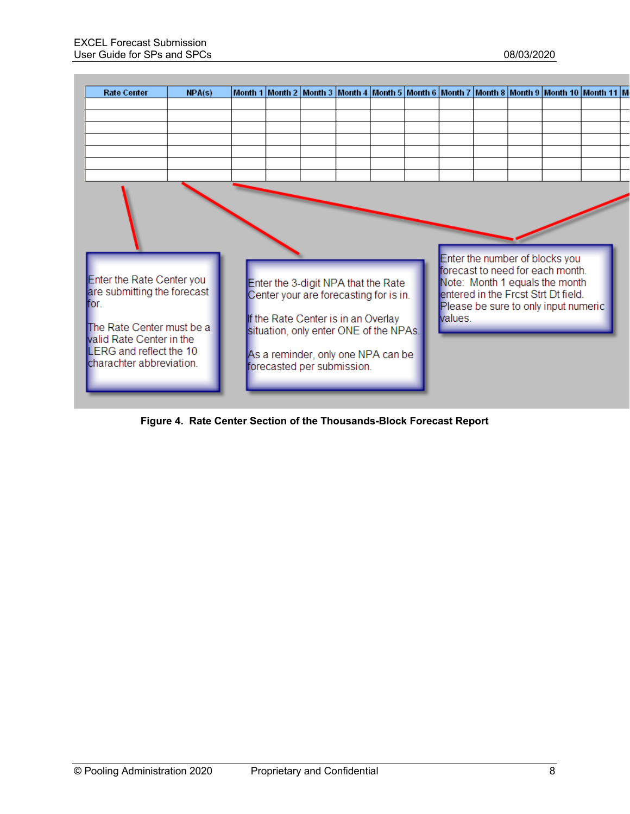

**Figure 4. Rate Center Section of the Thousands-Block Forecast Report**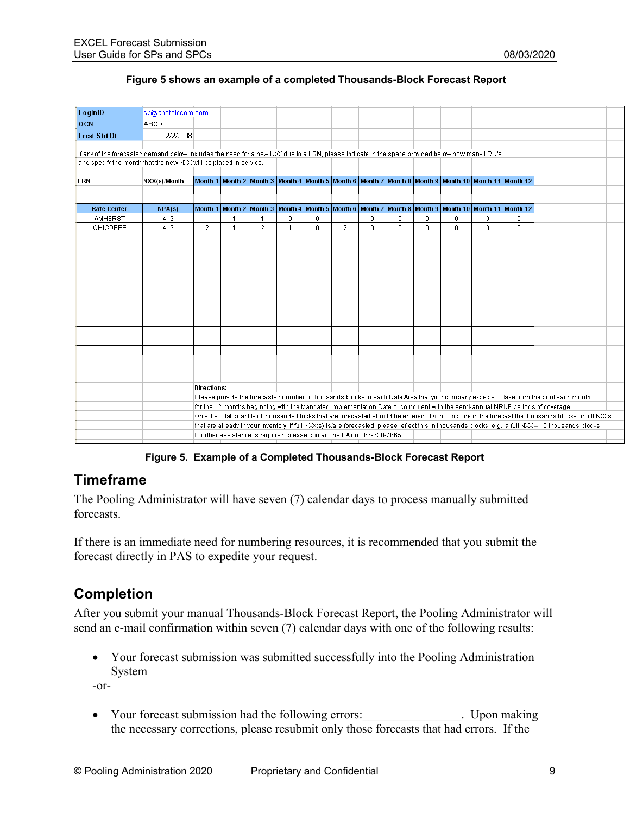#### **Figure 5 shows an example of a completed Thousands-Block Forecast Report**

| LoginID<br>sp@abctelecom.com                                                                                                                               |  |
|------------------------------------------------------------------------------------------------------------------------------------------------------------|--|
| OCN<br><b>ABCD</b>                                                                                                                                         |  |
| <b>Frest Strt Dt</b><br>2/2/2008                                                                                                                           |  |
|                                                                                                                                                            |  |
| If any of the forecasted demand below includes the need for a new NXX due to a LRN, please indicate in the space provided below how many LRN's             |  |
| and specify the month that the new NXX will be placed in service.                                                                                          |  |
|                                                                                                                                                            |  |
| Month 1   Month 2   Month 3   Month 4   Month 5   Month 6   Month 7   Month 8   Month 9   Month 10   Month 11   Month 12<br>LRN<br>NXX(s)/Month            |  |
|                                                                                                                                                            |  |
|                                                                                                                                                            |  |
| Month 1   Month 2   Month 3   Month 4   Month 5   Month 6   Month 7   Month 8   Month 9   Month 10   Month 11   Month 12  <br><b>Rate Center</b><br>NPA(s) |  |
| AMHERST<br>0<br>$\mathbf 0$<br>413<br>$\Omega$<br>0<br>0<br>0<br>0<br>$\mathbf{0}$                                                                         |  |
| $\overline{2}$<br>$\overline{2}$<br>0<br>$\overline{2}$<br>0<br>0<br>0<br>0<br>0<br>$\mathbf{0}$<br>CHICOPEE<br>413                                        |  |
|                                                                                                                                                            |  |
|                                                                                                                                                            |  |
|                                                                                                                                                            |  |
|                                                                                                                                                            |  |
|                                                                                                                                                            |  |
|                                                                                                                                                            |  |
|                                                                                                                                                            |  |
|                                                                                                                                                            |  |
|                                                                                                                                                            |  |
|                                                                                                                                                            |  |
|                                                                                                                                                            |  |
|                                                                                                                                                            |  |
|                                                                                                                                                            |  |
|                                                                                                                                                            |  |
|                                                                                                                                                            |  |
|                                                                                                                                                            |  |
| <b>Directions:</b>                                                                                                                                         |  |
| Please provide the forecasted number of thousands blocks in each Rate Area that your company expects to take from the pool each month                      |  |
| for the 12 months beginning with the Mandated Implementation Date or coincident with the semi-annual NRUF periods of coverage.                             |  |
| Only the total quantity of thousands blocks that are forecasted should be entered. Do not include in the forecast the thousands blocks or full NXXs        |  |
| that are already in your inventory. If full NXX(s) is/are forecasted, please reflect this in thousands blocks, e.g., a full NXX = 10 thousands blocks.     |  |
| If further assistance is required, please contact the PA on 866-638-7665.                                                                                  |  |

**Figure 5. Example of a Completed Thousands-Block Forecast Report** 

### **Timeframe**

The Pooling Administrator will have seven (7) calendar days to process manually submitted forecasts.

If there is an immediate need for numbering resources, it is recommended that you submit the forecast directly in PAS to expedite your request.

# **Completion**

After you submit your manual Thousands-Block Forecast Report, the Pooling Administrator will send an e-mail confirmation within seven (7) calendar days with one of the following results:

• Your forecast submission was submitted successfully into the Pooling Administration System

-or-

• Your forecast submission had the following errors: The Upon making the necessary corrections, please resubmit only those forecasts that had errors. If the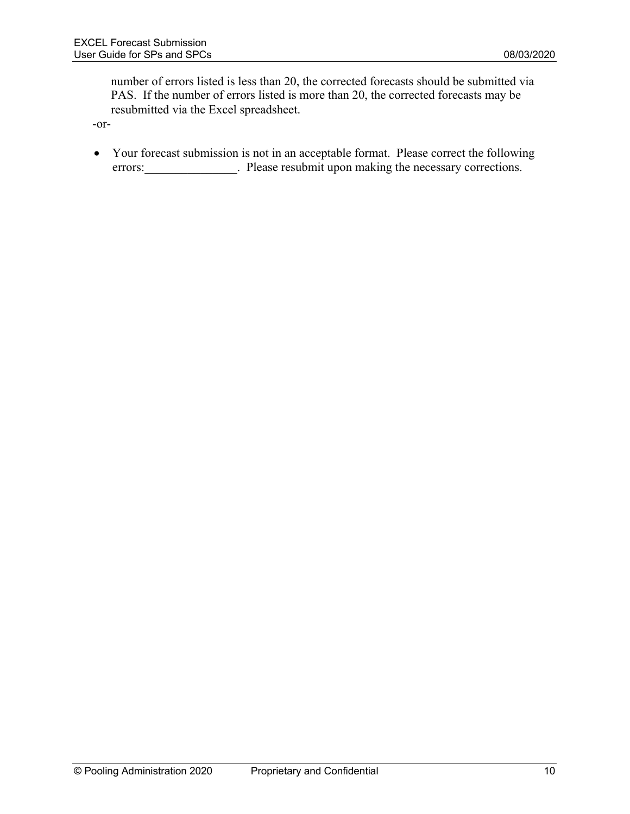number of errors listed is less than 20, the corrected forecasts should be submitted via PAS. If the number of errors listed is more than 20, the corrected forecasts may be resubmitted via the Excel spreadsheet.

-or-

• Your forecast submission is not in an acceptable format. Please correct the following errors: Please resubmit upon making the necessary corrections.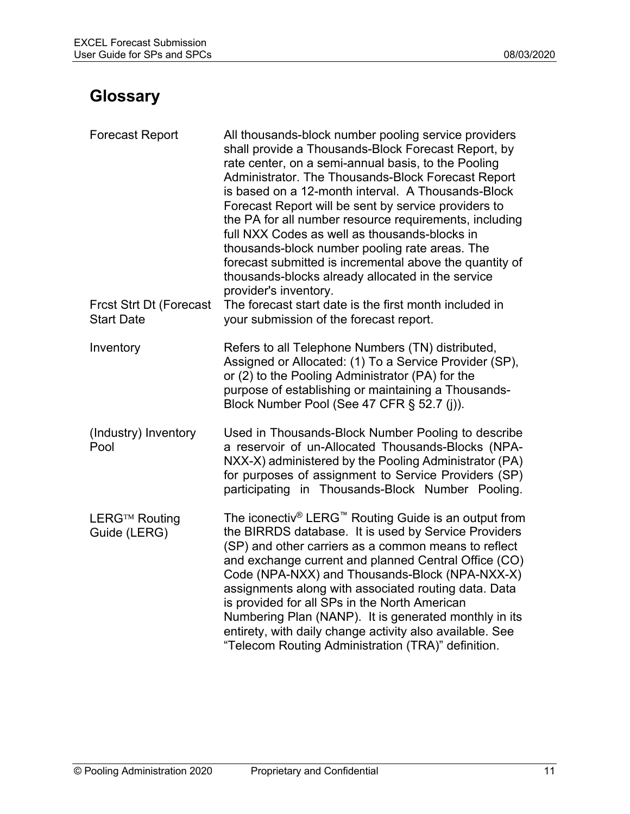# **Glossary**

| <b>Forecast Report</b>                              | All thousands-block number pooling service providers<br>shall provide a Thousands-Block Forecast Report, by<br>rate center, on a semi-annual basis, to the Pooling<br>Administrator. The Thousands-Block Forecast Report<br>is based on a 12-month interval. A Thousands-Block<br>Forecast Report will be sent by service providers to<br>the PA for all number resource requirements, including<br>full NXX Codes as well as thousands-blocks in<br>thousands-block number pooling rate areas. The<br>forecast submitted is incremental above the quantity of<br>thousands-blocks already allocated in the service<br>provider's inventory. |
|-----------------------------------------------------|----------------------------------------------------------------------------------------------------------------------------------------------------------------------------------------------------------------------------------------------------------------------------------------------------------------------------------------------------------------------------------------------------------------------------------------------------------------------------------------------------------------------------------------------------------------------------------------------------------------------------------------------|
| <b>Frcst Strt Dt (Forecast</b><br><b>Start Date</b> | The forecast start date is the first month included in<br>your submission of the forecast report.                                                                                                                                                                                                                                                                                                                                                                                                                                                                                                                                            |
| Inventory                                           | Refers to all Telephone Numbers (TN) distributed,<br>Assigned or Allocated: (1) To a Service Provider (SP),<br>or (2) to the Pooling Administrator (PA) for the<br>purpose of establishing or maintaining a Thousands-<br>Block Number Pool (See 47 CFR § 52.7 (j)).                                                                                                                                                                                                                                                                                                                                                                         |
| (Industry) Inventory<br>Pool                        | Used in Thousands-Block Number Pooling to describe<br>a reservoir of un-Allocated Thousands-Blocks (NPA-<br>NXX-X) administered by the Pooling Administrator (PA)<br>for purposes of assignment to Service Providers (SP)<br>participating in Thousands-Block Number Pooling.                                                                                                                                                                                                                                                                                                                                                                |
| LERG™ Routing<br>Guide (LERG)                       | The iconectiv® LERG™ Routing Guide is an output from<br>the BIRRDS database. It is used by Service Providers<br>(SP) and other carriers as a common means to reflect<br>and exchange current and planned Central Office (CO)<br>Code (NPA-NXX) and Thousands-Block (NPA-NXX-X)<br>assignments along with associated routing data. Data<br>is provided for all SPs in the North American<br>Numbering Plan (NANP). It is generated monthly in its<br>entirety, with daily change activity also available. See<br>"Telecom Routing Administration (TRA)" definition.                                                                           |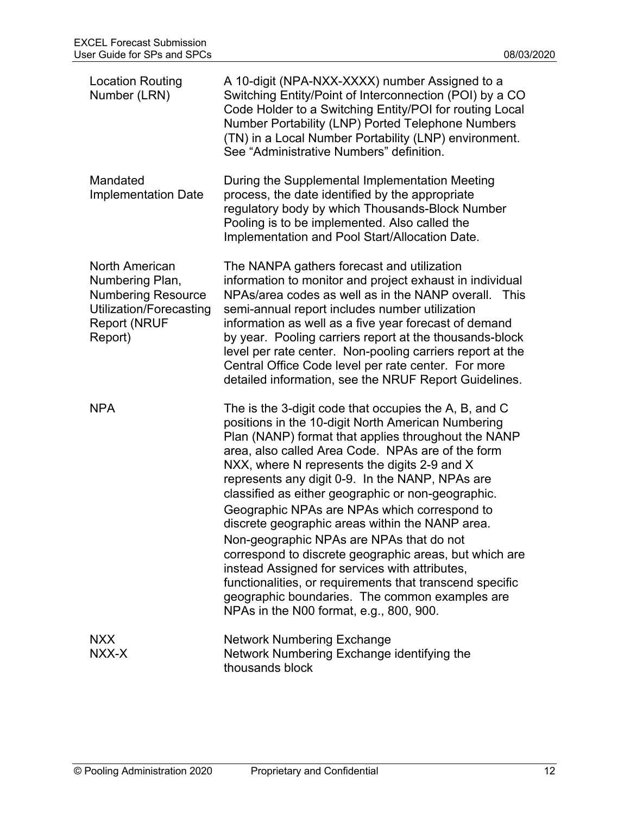| <b>Location Routing</b><br>Number (LRN)                                                                                     | A 10-digit (NPA-NXX-XXXX) number Assigned to a<br>Switching Entity/Point of Interconnection (POI) by a CO<br>Code Holder to a Switching Entity/POI for routing Local<br>Number Portability (LNP) Ported Telephone Numbers<br>(TN) in a Local Number Portability (LNP) environment.<br>See "Administrative Numbers" definition.                                                                                                                                                                                                                                                                                                                                                                                                                                                                       |
|-----------------------------------------------------------------------------------------------------------------------------|------------------------------------------------------------------------------------------------------------------------------------------------------------------------------------------------------------------------------------------------------------------------------------------------------------------------------------------------------------------------------------------------------------------------------------------------------------------------------------------------------------------------------------------------------------------------------------------------------------------------------------------------------------------------------------------------------------------------------------------------------------------------------------------------------|
| Mandated<br><b>Implementation Date</b>                                                                                      | During the Supplemental Implementation Meeting<br>process, the date identified by the appropriate<br>regulatory body by which Thousands-Block Number<br>Pooling is to be implemented. Also called the<br>Implementation and Pool Start/Allocation Date.                                                                                                                                                                                                                                                                                                                                                                                                                                                                                                                                              |
| North American<br>Numbering Plan,<br><b>Numbering Resource</b><br>Utilization/Forecasting<br><b>Report (NRUF</b><br>Report) | The NANPA gathers forecast and utilization<br>information to monitor and project exhaust in individual<br>NPAs/area codes as well as in the NANP overall.<br><b>This</b><br>semi-annual report includes number utilization<br>information as well as a five year forecast of demand<br>by year. Pooling carriers report at the thousands-block<br>level per rate center. Non-pooling carriers report at the<br>Central Office Code level per rate center. For more<br>detailed information, see the NRUF Report Guidelines.                                                                                                                                                                                                                                                                          |
| <b>NPA</b>                                                                                                                  | The is the 3-digit code that occupies the A, B, and C<br>positions in the 10-digit North American Numbering<br>Plan (NANP) format that applies throughout the NANP<br>area, also called Area Code. NPAs are of the form<br>NXX, where N represents the digits 2-9 and X<br>represents any digit 0-9. In the NANP, NPAs are<br>classified as either geographic or non-geographic.<br>Geographic NPAs are NPAs which correspond to<br>discrete geographic areas within the NANP area.<br>Non-geographic NPAs are NPAs that do not<br>correspond to discrete geographic areas, but which are<br>instead Assigned for services with attributes,<br>functionalities, or requirements that transcend specific<br>geographic boundaries. The common examples are<br>NPAs in the N00 format, e.g., 800, 900. |
| <b>NXX</b><br>NXX-X                                                                                                         | <b>Network Numbering Exchange</b><br>Network Numbering Exchange identifying the<br>thousands block                                                                                                                                                                                                                                                                                                                                                                                                                                                                                                                                                                                                                                                                                                   |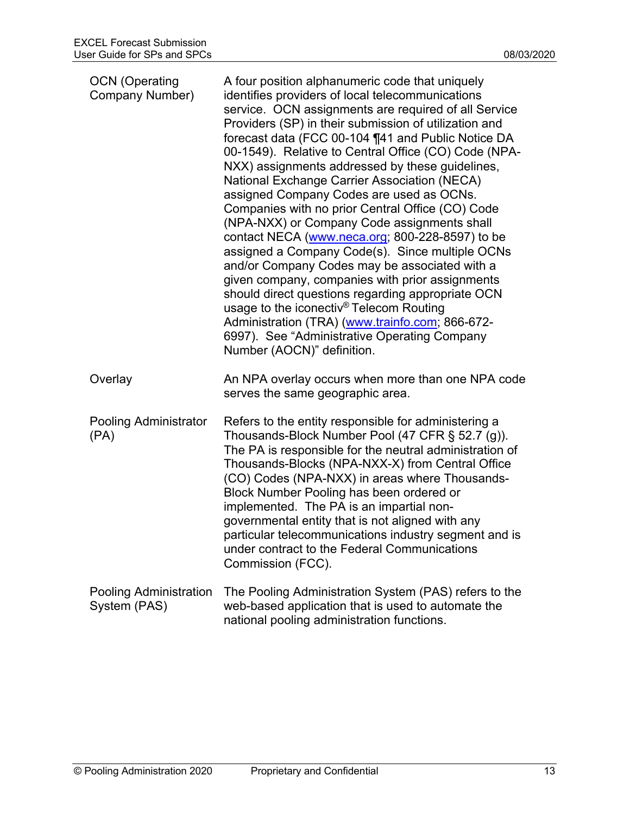| <b>OCN</b> (Operating<br>Company Number) | A four position alphanumeric code that uniquely<br>identifies providers of local telecommunications<br>service. OCN assignments are required of all Service<br>Providers (SP) in their submission of utilization and<br>forecast data (FCC 00-104 ¶41 and Public Notice DA<br>00-1549). Relative to Central Office (CO) Code (NPA-<br>NXX) assignments addressed by these guidelines,<br>National Exchange Carrier Association (NECA)<br>assigned Company Codes are used as OCNs.<br>Companies with no prior Central Office (CO) Code<br>(NPA-NXX) or Company Code assignments shall<br>contact NECA (www.neca.org; 800-228-8597) to be<br>assigned a Company Code(s). Since multiple OCNs<br>and/or Company Codes may be associated with a<br>given company, companies with prior assignments<br>should direct questions regarding appropriate OCN<br>usage to the iconectiv <sup>®</sup> Telecom Routing<br>Administration (TRA) (www.trainfo.com; 866-672-<br>6997). See "Administrative Operating Company<br>Number (AOCN)" definition. |
|------------------------------------------|---------------------------------------------------------------------------------------------------------------------------------------------------------------------------------------------------------------------------------------------------------------------------------------------------------------------------------------------------------------------------------------------------------------------------------------------------------------------------------------------------------------------------------------------------------------------------------------------------------------------------------------------------------------------------------------------------------------------------------------------------------------------------------------------------------------------------------------------------------------------------------------------------------------------------------------------------------------------------------------------------------------------------------------------|
| Overlay                                  | An NPA overlay occurs when more than one NPA code<br>serves the same geographic area.                                                                                                                                                                                                                                                                                                                                                                                                                                                                                                                                                                                                                                                                                                                                                                                                                                                                                                                                                       |
| Pooling Administrator<br>(PA)            | Refers to the entity responsible for administering a<br>Thousands-Block Number Pool (47 CFR § 52.7 (g)).<br>The PA is responsible for the neutral administration of<br>Thousands-Blocks (NPA-NXX-X) from Central Office<br>(CO) Codes (NPA-NXX) in areas where Thousands-<br>Block Number Pooling has been ordered or<br>implemented. The PA is an impartial non-<br>governmental entity that is not aligned with any<br>particular telecommunications industry segment and is<br>under contract to the Federal Communications<br>Commission (FCC).                                                                                                                                                                                                                                                                                                                                                                                                                                                                                         |
| Pooling Administration<br>System (PAS)   | The Pooling Administration System (PAS) refers to the<br>web-based application that is used to automate the<br>national pooling administration functions.                                                                                                                                                                                                                                                                                                                                                                                                                                                                                                                                                                                                                                                                                                                                                                                                                                                                                   |